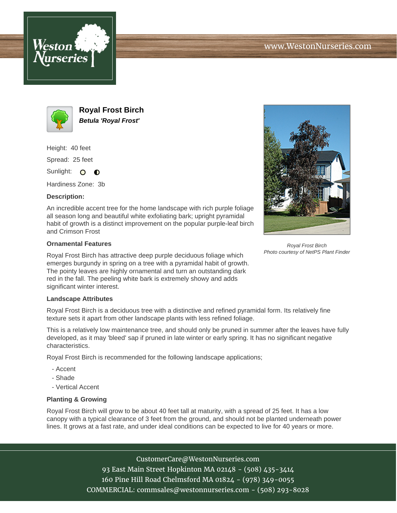



**Royal Frost Birch Betula 'Royal Frost'**

Height: 40 feet

Spread: 25 feet

Sunlight: O  $\bullet$ 

Hardiness Zone: 3b

## **Description:**

An incredible accent tree for the home landscape with rich purple foliage all season long and beautiful white exfoliating bark; upright pyramidal habit of growth is a distinct improvement on the popular purple-leaf birch and Crimson Frost

## **Ornamental Features**

Royal Frost Birch has attractive deep purple deciduous foliage which emerges burgundy in spring on a tree with a pyramidal habit of growth. The pointy leaves are highly ornamental and turn an outstanding dark red in the fall. The peeling white bark is extremely showy and adds significant winter interest.

## **Landscape Attributes**

Royal Frost Birch is a deciduous tree with a distinctive and refined pyramidal form. Its relatively fine texture sets it apart from other landscape plants with less refined foliage.

This is a relatively low maintenance tree, and should only be pruned in summer after the leaves have fully developed, as it may 'bleed' sap if pruned in late winter or early spring. It has no significant negative characteristics.

Royal Frost Birch is recommended for the following landscape applications;

- Accent
- Shade
- Vertical Accent

## **Planting & Growing**

Royal Frost Birch will grow to be about 40 feet tall at maturity, with a spread of 25 feet. It has a low canopy with a typical clearance of 3 feet from the ground, and should not be planted underneath power lines. It grows at a fast rate, and under ideal conditions can be expected to live for 40 years or more.

> CustomerCare@WestonNurseries.com 93 East Main Street Hopkinton MA 02148 - (508) 435-3414 160 Pine Hill Road Chelmsford MA 01824 - (978) 349-0055 COMMERCIAL: commsales@westonnurseries.com - (508) 293-8028



Royal Frost Birch Photo courtesy of NetPS Plant Finder